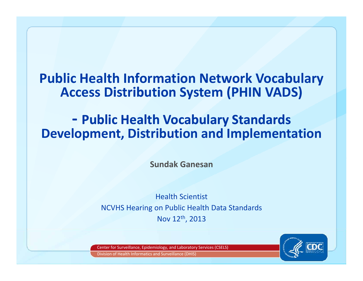# **Public Health Info rmation Network Vocabulary i ib Access Distribution System ( ) PHIN VADS)**

#### **‐- Public Health Vocabulary Standards c**<br>Development, Distribution and Implementation

**Sundak Ganesan**

Health Scientist NCVHS Hearing on Public Health Data Standards Nov 12th, 2013

Center for Surveillance, Epidemiology, and Laboratory Services (CSELS) Division of Health Informatics and Surveillance (DHIS)

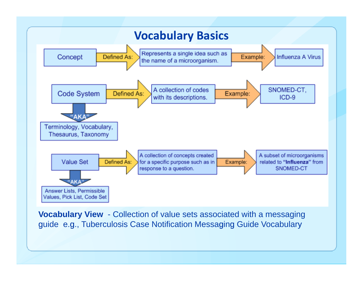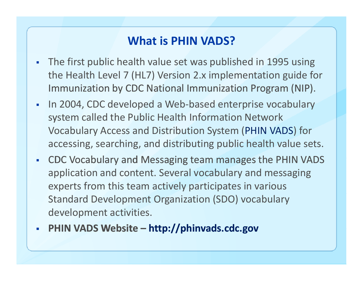## **What is PHIN VADS?**

- $\blacksquare$  The first public health value set was published in 1995 using the Health Level 7 (HL7) Version 2.x implementation guide for Immunization by CDC National Immunization Program (NIP).
- $\overline{\phantom{a}}$  In 2004, CDC developed <sup>a</sup> Web‐based enterprise vocabulary system called the Public Health Information Network Vocabulary Access and Distribution System (PHIN VADS) for accessing, searching, and distributing public health value sets.
- $\mathbf{r}$ • CDC Vocabulary and Messaging team manages the PHIN VADS application and content. Several vocabulary and messaging experts from this team actively participates in various Standard Development Organization (SDO) vocabulary development activities.
- $\overline{\phantom{a}}$ **PHIN VADS Website – http://phinvads cdc gov http://phinvads.cdc.gov**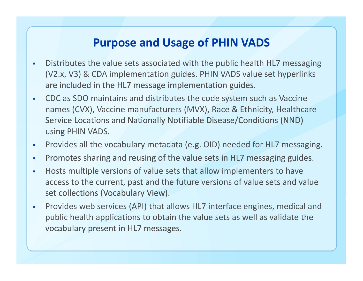# **Purpose and Usage of PHIN VADS**

- $\mathbf{r}$  Distributes the value sets associated with the public health HL7 messaging (V2.x, V3) & CDA implementation guides. PHIN VADS value set hyperlinks are included in the HL7 message implementation guides.
- ш CDC as SDO maintains and distributes the code system such as Vaccine names (CVX), Vaccine manufacturers (MVX), Race & Ethnicity, Healthcare Service Locations and Nationally Notifiable Disease/Conditions (NND) using PHIN VADS.
- $\blacksquare$ Provides all the vocabulary metadata (e.g. OID) needed for HL7 messaging.
- ×. Promotes sharing and reusing of the value sets in HL7 messaging guides.
- П Hosts multiple versions of value sets that allow implementers to have access to the current, past and the future versions of value sets and value set collections (Vocabulary View).
- $\mathbf{r}$  Provides web services (API) that allows HL7 interface engines, medical and public health applications to obtain the value sets as well as validate the vocabulary present in HL7 messages.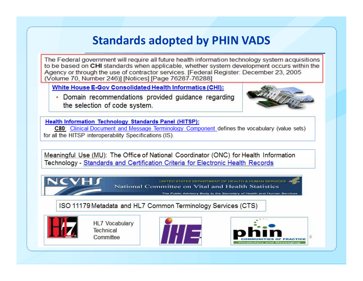#### **Standards adopted by PHIN VADS**

The Federal government will require all future health information technology system acquisitions to be based on CHI standards when applicable, whether system development occurs within the Agency or through the use of contractor services. [Federal Register: December 23, 2005 (Volume 70, Number 246)] [Notices] [Page 76287-76288]

**White House E-Gov Consolidated Health Informatics (CHI):** 

• Domain recommendations provided guidance regarding the selection of code system.



Health Information Technology Standards Panel (HITSP):

C80: Clinical Document and Message Terminology Component defines the vocabulary (value sets) for all the HITSP interoperability Specifications (IS).

Meaningful Use (MU): The Office of National Coordinator (ONC) for Health Information Technology - Standards and Certification Criteria for Electronic Health Records

> UNITED STATES DEPARTMENT OF HEALTH & HUMAN SERVICES National Committee on Vital and Health Statistics

The Public Advisory Body to the Secretary of Health and Human Serv

ISO 11179 Metadata and HL7 Common Terminology Services (CTS)



**HL7 Vocabulary** Technical Committee



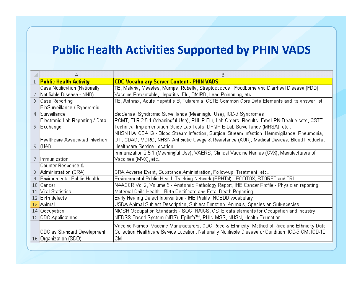#### **Public Health Activities Supported by PHIN VADS**

| В                                                                                                     | А                                      |                |
|-------------------------------------------------------------------------------------------------------|----------------------------------------|----------------|
| <b>CDC Vocabulary Server Content - PHIN VADS</b>                                                      | <b>Public Health Activity</b>          | $\mathbf{1}$   |
| TB, Malaria, Measles, Mumps, Rubella, Streptococcus, Foodborne and Diarrheal Disease (FDD),           | Case Notification (Nationally          |                |
| Vaccine Preventable, Hepatitis, Flu, BMIRD, Lead Poisoning, etc                                       | Notifiable Disease - NND)              | 2.             |
| TB, Anthrax, Acute Hepatitis B, Tularemia, CSTE Common Core Data Elements and its answer list         | Case Reporting                         | 3 <sup>1</sup> |
|                                                                                                       | BioSurveillance / Syndromic            |                |
| BioSense, Syndromic Surveillance (Meaningful Use), ICD-9 Syndromes                                    | 4 Surveillance                         |                |
| RCMT, ELR 2.5.1 (Meaningful Use), PHLIP Flu, Lab Orders, Results, Few LRN-B value sets, CSTE          | Electronic Lab Reporting / Data        |                |
| Technical Implementation Guide Lab Tests, DHQP E-Lab Surveillance (MRSA), etc                         | 5 Exchange                             |                |
| NHSN HAI CDA IG - Blood Stream Infection, Surgical Stream Infection, Hemovigilance, Pneumonia,        |                                        |                |
| UTI, CDAD, MDRO, NHSN Antibiotic Usage & Resistance (AUR), Medical Devices, Blood Products,           | <b>Healthcare Associated Infection</b> |                |
|                                                                                                       | $\vert$ (HAI)                          | 6.             |
| Immunization 2.5.1 (Meaningful Use), VAERS, Clinical Vaccine Names (CVX), Manufacturers of            |                                        |                |
|                                                                                                       | Immunization                           | 7.             |
|                                                                                                       | Counter Response &                     |                |
| CRA Adverse Event, Substance Aministration, Follow-up, Treatment, etc                                 | Administration (CRA)                   | 8              |
| Environmental Public Health Tracking Network (EPHTN) - ECOTOX, STORET and TRI                         | Environmental Public Health            | 9.             |
| NAACCR Vol 2, Volume 5 - Anatomic Pathology Report, IHE Cancer Profile - Physician reporting          | 10 Cancer                              |                |
| Maternal Child Health - Birth Certificate and Fetal Death Reporting                                   | 11 Vital Statistics                    |                |
| Early Hearing Detect Intervention - IHE Profile, NCBDD vocabulary                                     | 12 Birth defects                       |                |
| USDA Animal Subject Description, Subject Function, Animals, Species an Sub-species                    | 13 Animal                              |                |
| NIOSH Occupation Standards - SOC, NAICS, CSTE data elements for Occupation and Industry               | 14 Occupation                          |                |
| NEDSS Based System (NBS), Epilnfo™, PHIN MSS, NHSN, Health Education                                  | 15 CDC Applications:                   |                |
| Vaccine Names, Vaccine Manufacturers, CDC Race & Ethnicity, Method of Race and Ethnicity Data         |                                        |                |
| Collection, Healthcare Service Location, Nationally Notifiable Disease or Condition, ICD-9 CM, ICD-10 | CDC as Standard Development            |                |
|                                                                                                       | 16   Organization (SDO)                |                |
|                                                                                                       |                                        |                |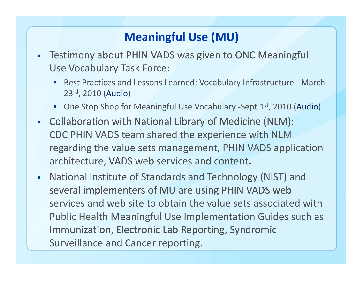# **Meaningful Use (MU)**

- $\blacksquare$ Testimony about PHIN VADS was given to ONC Meaningful Use Vocabulary Task Force:
	- Best Practices and Lessons Learned: Vocabulary Infrastructure ‐ March 23rd, 2010 (Audio)
	- One Stop Shop for Meaningful Use Vocabulary -Sept 1st, 2010 (Audio)
- Collaboration with National Library of Medicine (NLM): CDC PHIN VADS team shared the experience with NLM regarding the value sets management, PHIN VADS application architecture, VADS web services and content.
- $\mathbf{r}$  National Institute of Standards and Technology (NIST) and several implementers of MU are using PHIN VADS web services and web site to obtain the value sets associated with Public Health Meaningful Use Implementation Guides such as Immunization, Electronic Lab Reporting, Syndromic Surveillance and Cancer reporting.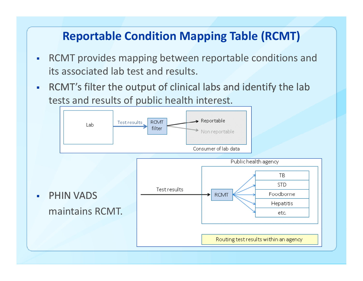# **Reportable Condition Mapping Table (RCMT)**

- $\blacksquare$  RCMT provides mapping between reportable conditions and its associated lab test and results.
- $\overline{\phantom{a}}$ RCMT's filter the output of clinical labs and identify the lab tests and results of public health interest.

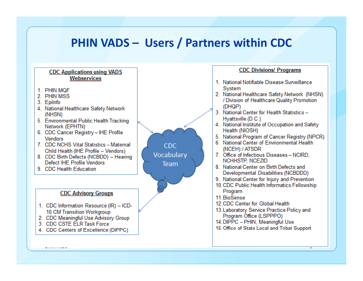#### **PHIN VADS – Users / Partners within CDC**

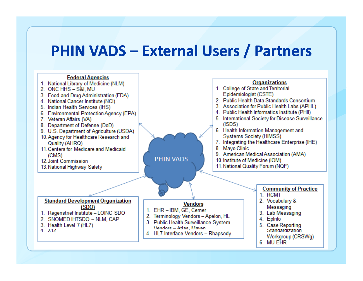# **PHIN VADS – External Users / Partners**

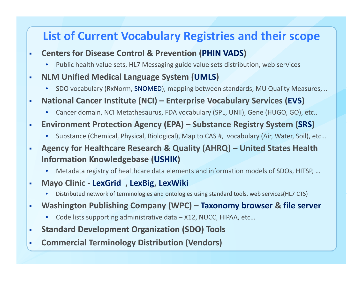## **List of Current Vocabulary Registries and their scope**

- $\blacksquare$  **Centers for Disease Control & Prevention (PHIN VADS)**
	- •Public health value sets, HL7 Messaging guide value sets distribution, web services
- $\blacksquare$  **NLM Unified Medical Language System (UMLS)**
	- SDO vocabulary (RxNorm, SNOMED), mapping between standards, MU Quality Measures, ..
- $\blacksquare$  **National Cancer Institute (NCI) – Enterprise Vocabulary Services (EVS)**
	- •Cancer domain, NCI Metathesaurus, FDA vocabulary (SPL, UNII), Gene (HUGO, GO), etc..
- $\mathbf{r}$ **-** Environment Protection Agency (EPA) – Substance Registry System (SRS)
	- $\bullet$ Substance (Chemical, Physical, Biological), Map to CAS #, vocabulary (Air, Water, Soil), etc…
- $\blacksquare$  **Agency for Healthcare Research & Quality (AHRQ) – United States Health Information Knowledgebase (USHIK)**
	- •Metadata registry of healthcare data elements and information models of SDOs, HITSP, …
- $\overline{\phantom{a}}$  **Mayo Clinic ‐ LexGrid , LexBig, LexWiki**
	- •Distributed network of terminologies and ontologies using standard tools, web services(HL7 CTS)
- $\overline{\phantom{a}}$  **Washington Publishing Company (WPC) – Taxonomy browser & file server**
	- $\bullet$ Code lists supporting administrative data – X12, NUCC, HIPAA, etc…
- $\blacksquare$ **Standard Development Organization (SDO) Tools**
- $\blacksquare$ **Commercial Terminology Distribution (Vendors)**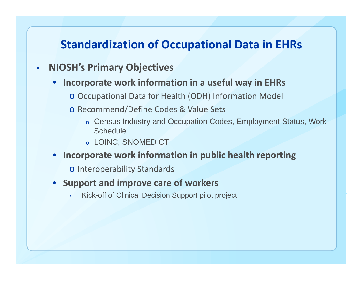#### **Standardization of Occupational Data in EHRs**

#### $\blacksquare$ **NIOSH's Primary Objectives**

- • **Incorporate work information in <sup>a</sup> useful way in EHRs**
	- o Occupational Data for Health (ODH) Information Model
	- o Recommend/Define Codes & Value Sets
		- $\circ$  Census Industry and Occupation Codes, Employment Status, Work **Schedule**
		- $\circ~$  LOINC, SNOMED CT
- •**Incorporate work information in public health reporting**

o Interoperability Standards

- **Support and improve care of workers**
	- Kick-off of Clinical Decision Support pilot project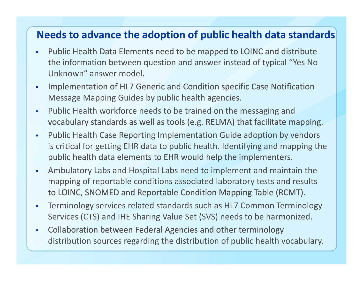#### **Needs to advance the adoption of public health data standards**

- ò. **-** Public Health Data Elements need to be mapped to LOINC and distribute the information between question and answer instead of typical "Yes No Unknown" answer model.
- $\mathbf{r}$  Implementation of HL7 Generic and Condition specific Case Notification Message Mapping Guides by public health agencies.
- $\overline{\phantom{a}}$  Public Health workforce needs to be trained on the messaging and vocabulary standards as well as tools (e.g. RELMA) that facilitate mapping.
- $\mathbf{r}$  Public Health Case Reporting Implementation Guide adoption by vendors is critical for getting EHR data to public health. Identifying and mapping the public health data elements to EHR would help the implementers.
- $\blacksquare$  Ambulatory Labs and Hospital Labs need to implement and maintain the mapping of reportable conditions associated laboratory tests and results to LOINC, SNOMED and Reportable Condition Mapping Table (RCMT).
- $\blacksquare$  Terminology services related standards such as HL7 Common Terminology Services (CTS) and IHE Sharing Value Set (SVS) needs to be harmonized.
- $\mathbf{r}$  Collaboration between Federal Agencies and other terminology distribution sources regarding the distribution of public health vocabulary.